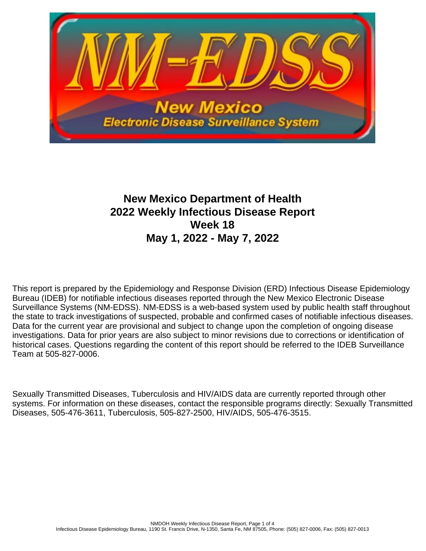

# **New Mexico Department of Health 2022 Weekly Infectious Disease Report Week 18 May 1, 2022 - May 7, 2022**

This report is prepared by the Epidemiology and Response Division (ERD) Infectious Disease Epidemiology Bureau (IDEB) for notifiable infectious diseases reported through the New Mexico Electronic Disease Surveillance Systems (NM-EDSS). NM-EDSS is a web-based system used by public health staff throughout the state to track investigations of suspected, probable and confirmed cases of notifiable infectious diseases. Data for the current year are provisional and subject to change upon the completion of ongoing disease investigations. Data for prior years are also subject to minor revisions due to corrections or identification of historical cases. Questions regarding the content of this report should be referred to the IDEB Surveillance Team at 505-827-0006.

Sexually Transmitted Diseases, Tuberculosis and HIV/AIDS data are currently reported through other systems. For information on these diseases, contact the responsible programs directly: Sexually Transmitted Diseases, 505-476-3611, Tuberculosis, 505-827-2500, HIV/AIDS, 505-476-3515.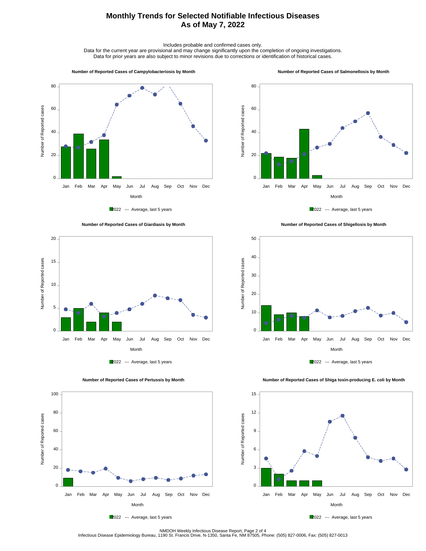## **Monthly Trends for Selected Notifiable Infectious Diseases As of May 7, 2022**

Includes probable and confirmed cases only.

Data for the current year are provisional and may change significantly upon the completion of ongoing investigations. Data for prior years are also subject to minor revisions due to corrections or identification of historical cases.

#### **Number of Reported Cases of Campylobacteriosis by Month**

#### **Number of Reported Cases of Salmonellosis by Month**









 **Number of Reported Cases of Shigellosis by Month**





 **Number of Reported Cases of Shiga toxin-producing E. coli by Month**







NMDOH Weekly Infectious Disease Report, Page 2 of 4<br>Infectious Disease Epidemiology Bureau, 1190 St. Francis Drive, N-1350, Santa Fe, NM 87505, Phone: (505) 827-0006, Fax: (505) 827-0013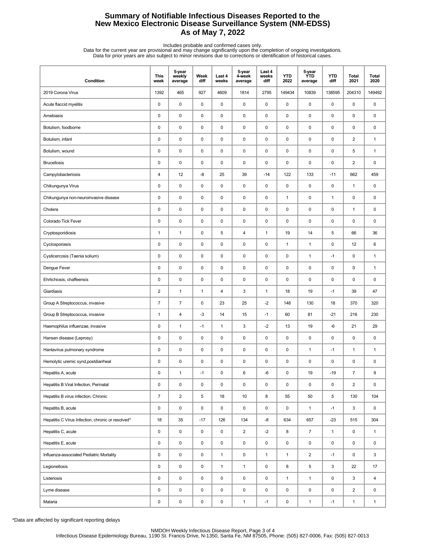## **Summary of Notifiable Infectious Diseases Reported to the New Mexico Electronic Disease Surveillance System (NM-EDSS) As of May 7, 2022**

Includes probable and confirmed cases only.<br>Data for the current year are provisional and may change significantly upon the completion of ongoing investigations.<br>Data for prior years are also subject to minor revisions due

| Condition                                         | <b>This</b><br>week | 5-year<br>weekly<br>average | Week<br>diff | Last 4<br>weeks | 5-year<br>4-week<br>average | Last 4<br>weeks<br>diff | <b>YTD</b><br>2022 | 5-year<br><b>YTD</b><br>average | <b>YTD</b><br>diff | Total<br>2021           | <b>Total</b><br>2020 |
|---------------------------------------------------|---------------------|-----------------------------|--------------|-----------------|-----------------------------|-------------------------|--------------------|---------------------------------|--------------------|-------------------------|----------------------|
| 2019 Corona Virus                                 | 1392                | 465                         | 927          | 4609            | 1814                        | 2795                    | 149434             | 10839                           | 138595             | 204310                  | 149492               |
| Acute flaccid myelitis                            | $\pmb{0}$           | $\mathsf 0$                 | 0            | 0               | $\pmb{0}$                   | $\pmb{0}$               | $\pmb{0}$          | 0                               | $\pmb{0}$          | 0                       | 0                    |
| Amebiasis                                         | 0                   | 0                           | 0            | 0               | 0                           | $\mathbf 0$             | $\pmb{0}$          | 0                               | $\mathbf 0$        | $\pmb{0}$               | 0                    |
| Botulism, foodborne                               | 0                   | 0                           | 0            | 0               | 0                           | $\mathbf 0$             | $\pmb{0}$          | 0                               | $\pmb{0}$          | 0                       | 0                    |
| Botulism, infant                                  | 0                   | 0                           | 0            | 0               | 0                           | $\mathbf 0$             | $\pmb{0}$          | 0                               | $\pmb{0}$          | $\overline{2}$          | $\mathbf{1}$         |
| Botulism, wound                                   | 0                   | $\mathsf 0$                 | $\pmb{0}$    | 0               | $\pmb{0}$                   | $\pmb{0}$               | $\pmb{0}$          | 0                               | $\pmb{0}$          | 5                       | $\mathbf{1}$         |
| <b>Brucellosis</b>                                | 0                   | $\pmb{0}$                   | 0            | 0               | 0                           | 0                       | 0                  | 0                               | $\pmb{0}$          | $\overline{2}$          | 0                    |
| Campylobacteriosis                                | 4                   | 12                          | -8           | 25              | 39                          | $-14$                   | 122                | 133                             | $-11$              | 662                     | 459                  |
| Chikungunya Virus                                 | 0                   | 0                           | 0            | 0               | 0                           | 0                       | $\pmb{0}$          | 0                               | $\mathbf 0$        | $\mathbf{1}$            | 0                    |
| Chikungunya non-neuroinvasive disease             | 0                   | 0                           | 0            | 0               | 0                           | 0                       | $\mathbf{1}$       | 0                               | $\mathbf{1}$       | 0                       | 0                    |
| Cholera                                           | 0                   | $\pmb{0}$                   | 0            | 0               | 0                           | $\mathbf 0$             | $\pmb{0}$          | 0                               | $\mathbf 0$        | $\mathbf{1}$            | 0                    |
| Colorado Tick Fever                               | 0                   | $\pmb{0}$                   | 0            | 0               | $\pmb{0}$                   | $\pmb{0}$               | $\pmb{0}$          | 0                               | $\pmb{0}$          | 0                       | 0                    |
| Cryptosporidiosis                                 | 1                   | $\mathbf{1}$                | 0            | 5               | 4                           | $\mathbf{1}$            | 19                 | 14                              | 5                  | 66                      | 36                   |
| Cyclosporiasis                                    | 0                   | 0                           | 0            | 0               | 0                           | $\mathbf 0$             | $\mathbf{1}$       | $\mathbf{1}$                    | $\pmb{0}$          | 12                      | 6                    |
| Cysticercosis (Taenia solium)                     | 0                   | 0                           | 0            | 0               | 0                           | 0                       | $\pmb{0}$          | $\mathbf{1}$                    | $-1$               | 0                       | $\mathbf{1}$         |
| Dengue Fever                                      | 0                   | $\mathsf 0$                 | 0            | 0               | $\pmb{0}$                   | $\pmb{0}$               | $\pmb{0}$          | 0                               | $\pmb{0}$          | 0                       | $\mathbf{1}$         |
| Ehrlichiosis, chaffeensis                         | 0                   | $\pmb{0}$                   | 0            | 0               | $\pmb{0}$                   | $\pmb{0}$               | $\pmb{0}$          | 0                               | $\pmb{0}$          | 0                       | 0                    |
| Giardiasis                                        | 2                   | $\mathbf{1}$                | $\mathbf{1}$ | 4               | 3                           | $\mathbf{1}$            | 18                 | 19                              | $-1$               | 39                      | 47                   |
| Group A Streptococcus, invasive                   | $\overline{7}$      | $\overline{7}$              | 0            | 23              | 25                          | $-2$                    | 148                | 130                             | 18                 | 370                     | 320                  |
| Group B Streptococcus, invasive                   | 1                   | 4                           | $-3$         | 14              | 15                          | $-1$                    | 60                 | 81                              | $-21$              | 216                     | 230                  |
| Haemophilus influenzae, invasive                  | $\pmb{0}$           | $\mathbf{1}$                | $-1$         | $\mathbf{1}$    | 3                           | $-2$                    | 13                 | 19                              | -6                 | 21                      | 29                   |
| Hansen disease (Leprosy)                          | 0                   | $\pmb{0}$                   | 0            | 0               | $\pmb{0}$                   | $\pmb{0}$               | $\pmb{0}$          | 0                               | $\pmb{0}$          | 0                       | 0                    |
| Hantavirus pulmonary syndrome                     | 0                   | 0                           | 0            | 0               | 0                           | $\mathbf 0$             | 0                  | $\mathbf{1}$                    | $-1$               | 1                       | $\mathbf{1}$         |
| Hemolytic uremic synd, postdiarrheal              | 0                   | 0                           | 0            | 0               | 0                           | $\mathbf 0$             | $\pmb{0}$          | 0                               | 0                  | 0                       | 0                    |
| Hepatitis A, acute                                | 0                   | $\mathbf{1}$                | $-1$         | 0               | 6                           | -6                      | $\pmb{0}$          | 19                              | $-19$              | 7                       | 9                    |
| Hepatitis B Viral Infection, Perinatal            | 0                   | $\pmb{0}$                   | 0            | 0               | $\pmb{0}$                   | $\pmb{0}$               | $\pmb{0}$          | 0                               | 0                  | $\overline{2}$          | 0                    |
| Hepatitis B virus infection, Chronic              | $\overline{7}$      | $\overline{2}$              | 5            | 18              | 10                          | 8                       | 55                 | 50                              | 5                  | 130                     | 104                  |
| Hepatitis B, acute                                | 0                   | 0                           | 0            | 0               | $\pmb{0}$                   | 0                       | $\pmb{0}$          | $\mathbf{1}$                    | $-1$               | 3                       | 0                    |
| Hepatitis C Virus Infection, chronic or resolved* | 18                  | 35                          | $-17$        | 126             | 134                         | -8                      | 634                | 657                             | $-23$              | 515                     | 304                  |
| Hepatitis C, acute                                | 0                   | $\mathsf 0$                 | 0            | 0               | $\overline{2}$              | $-2$                    | 8                  | 7                               | $\mathbf{1}$       | 0                       | $\mathbf{1}$         |
| Hepatitis E, acute                                | 0                   | $\pmb{0}$                   | 0            | 0               | $\pmb{0}$                   | 0                       | $\mathsf 0$        | 0                               | $\mathsf 0$        | 0                       | $\mathsf 0$          |
| Influenza-associated Pediatric Mortality          | 0                   | $\mathsf 0$                 | 0            | $\mathbf{1}$    | $\pmb{0}$                   | $\mathbf{1}$            | $\mathbf{1}$       | $\overline{\mathbf{c}}$         | $-1$               | 0                       | 3                    |
| Legionellosis                                     | 0                   | $\mathsf 0$                 | 0            | $\mathbf{1}$    | $\mathbf{1}$                | 0                       | 8                  | 5                               | 3                  | 22                      | 17                   |
| Listeriosis                                       | 0                   | 0                           | 0            | 0               | 0                           | 0                       | $\mathbf{1}$       | $\mathbf{1}$                    | $\mathbf 0$        | 3                       | 4                    |
| Lyme disease                                      | 0                   | $\mathsf 0$                 | 0            | 0               | $\pmb{0}$                   | $\mathsf 0$             | $\pmb{0}$          | 0                               | $\pmb{0}$          | $\overline{\mathbf{c}}$ | 0                    |
| Malaria                                           | 0                   | $\pmb{0}$                   | 0            | 0               | $\mathbf{1}$                | $-1$                    | 0                  | $\mathbf{1}$                    | $-1$               | $\mathbf{1}$            | $\mathbf{1}$         |

\*Data are affected by significant reporting delays